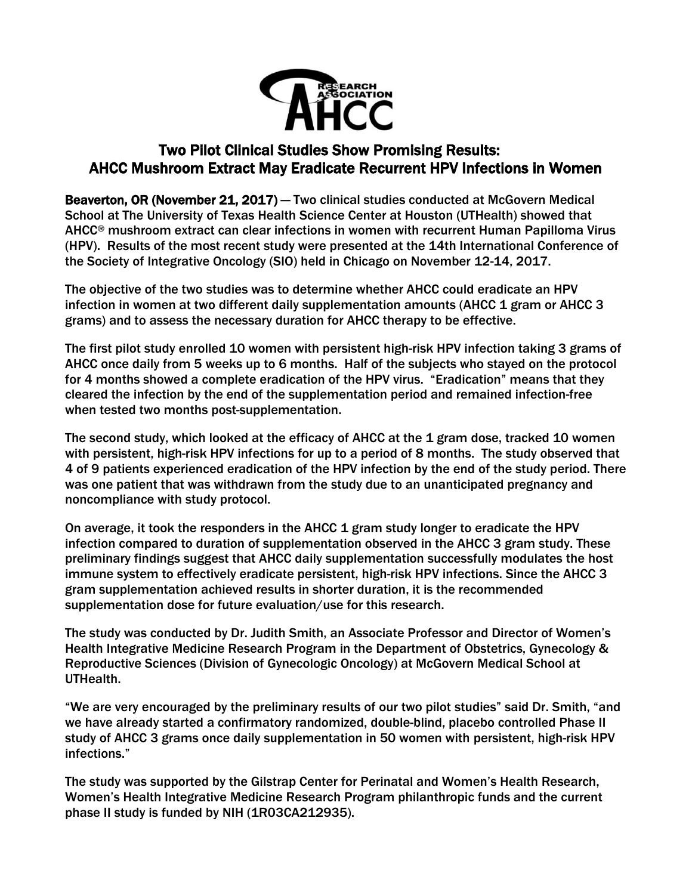

# Two Pilot Clinical Studies Show Promising Results: AHCC Mushroom Extract May Eradicate Recurrent HPV Infections in Women

Beaverton, OR (November 21, 2017) — Two clinical studies conducted at McGovern Medical School at The University of Texas Health Science Center at Houston (UTHealth) showed that AHCC® mushroom extract can clear infections in women with recurrent Human Papilloma Virus (HPV). Results of the most recent study were presented at the 14th International Conference of the Society of Integrative Oncology (SIO) held in Chicago on November 12-14, 2017.

The objective of the two studies was to determine whether AHCC could eradicate an HPV infection in women at two different daily supplementation amounts (AHCC 1 gram or AHCC 3 grams) and to assess the necessary duration for AHCC therapy to be effective.

The first pilot study enrolled 10 women with persistent high-risk HPV infection taking 3 grams of AHCC once daily from 5 weeks up to 6 months. Half of the subjects who stayed on the protocol for 4 months showed a complete eradication of the HPV virus. "Eradication" means that they cleared the infection by the end of the supplementation period and remained infection-free when tested two months post-supplementation.

The second study, which looked at the efficacy of AHCC at the 1 gram dose, tracked 10 women with persistent, high-risk HPV infections for up to a period of 8 months. The study observed that 4 of 9 patients experienced eradication of the HPV infection by the end of the study period. There was one patient that was withdrawn from the study due to an unanticipated pregnancy and noncompliance with study protocol.

On average, it took the responders in the AHCC 1 gram study longer to eradicate the HPV infection compared to duration of supplementation observed in the AHCC 3 gram study. These preliminary findings suggest that AHCC daily supplementation successfully modulates the host immune system to effectively eradicate persistent, high-risk HPV infections. Since the AHCC 3 gram supplementation achieved results in shorter duration, it is the recommended supplementation dose for future evaluation/use for this research.

The study was conducted by Dr. Judith Smith, an Associate Professor and Director of Women's Health Integrative Medicine Research Program in the Department of Obstetrics, Gynecology & Reproductive Sciences (Division of Gynecologic Oncology) at McGovern Medical School at UTHealth.

"We are very encouraged by the preliminary results of our two pilot studies" said Dr. Smith, "and we have already started a confirmatory randomized, double-blind, placebo controlled Phase II study of AHCC 3 grams once daily supplementation in 50 women with persistent, high-risk HPV infections."

The study was supported by the Gilstrap Center for Perinatal and Women's Health Research, Women's Health Integrative Medicine Research Program philanthropic funds and the current phase II study is funded by NIH (1R03CA212935).